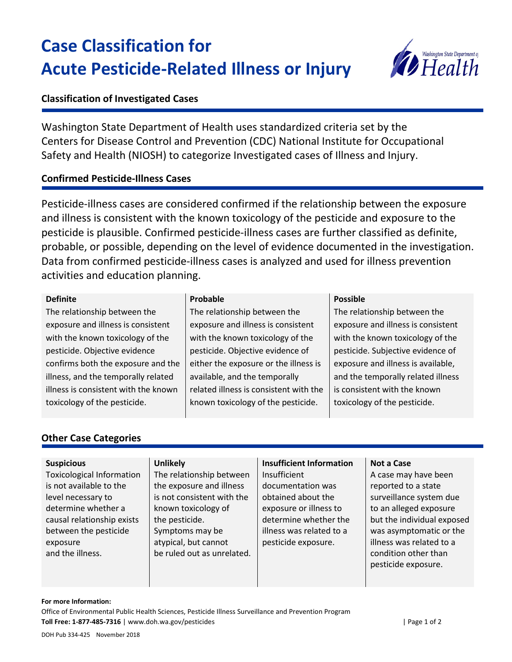# **Case Classification for Acute Pesticide-Related Illness or Injury**



## **Classification of Investigated Cases**

Washington State Department of Health uses standardized criteria set by the Centers for Disease Control and Prevention (CDC) National Institute for Occupational Safety and Health (NIOSH) to categorize Investigated cases of Illness and Injury.

## **Confirmed Pesticide-Illness Cases**

Pesticide-illness cases are considered confirmed if the relationship between the exposure and illness is consistent with the known toxicology of the pesticide and exposure to the pesticide is plausible. Confirmed pesticide-illness cases are further classified as definite, probable, or possible, depending on the level of evidence documented in the investigation. Data from confirmed pesticide-illness cases is analyzed and used for illness prevention activities and education planning.

#### **Definite**

The relationship between the exposure and illness is consistent with the known toxicology of the pesticide. Objective evidence confirms both the exposure and the illness, and the temporally related illness is consistent with the known toxicology of the pesticide.

### **Probable**

The relationship between the exposure and illness is consistent with the known toxicology of the pesticide. Objective evidence of either the exposure or the illness is available, and the temporally related illness is consistent with the known toxicology of the pesticide.

#### **Possible**

The relationship between the exposure and illness is consistent with the known toxicology of the pesticide. Subjective evidence of exposure and illness is available, and the temporally related illness is consistent with the known toxicology of the pesticide.

## **Other Case Categories**

## **Suspicious**

Toxicological Information is not available to the level necessary to determine whether a causal relationship exists between the pesticide exposure and the illness.

### **Unlikely**

The relationship between the exposure and illness is not consistent with the known toxicology of the pesticide. Symptoms may be atypical, but cannot be ruled out as unrelated.

## **Insufficient Information**

Insufficient documentation was obtained about the exposure or illness to determine whether the illness was related to a pesticide exposure.

#### **Not a Case**

A case may have been reported to a state surveillance system due to an alleged exposure but the individual exposed was asymptomatic or the illness was related to a condition other than pesticide exposure.

#### **For more Information:**

Office of Environmental Public Health Sciences, Pesticide Illness Surveillance and Prevention Program **Toll Free: 1-877-485-7316** | www.doh.wa.gov/pesticides | Page 1 of 2